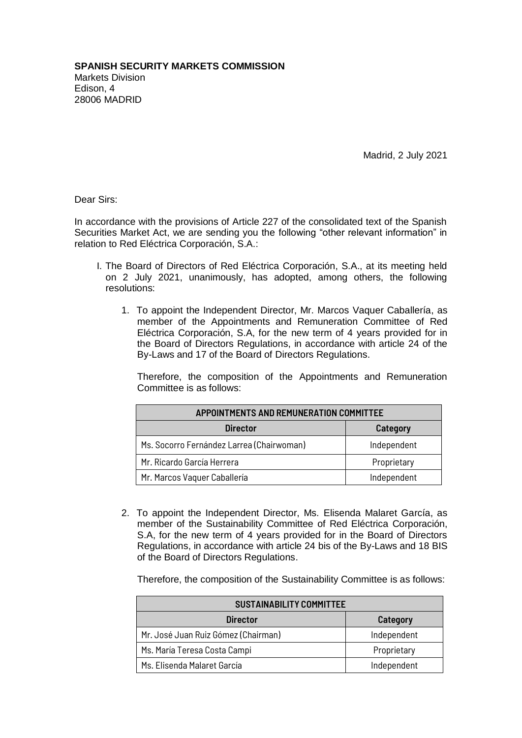Madrid, 2 July 2021

Dear Sirs:

In accordance with the provisions of Article 227 of the consolidated text of the Spanish Securities Market Act, we are sending you the following "other relevant information" in relation to Red Eléctrica Corporación, S.A.:

- I. The Board of Directors of Red Eléctrica Corporación, S.A., at its meeting held on 2 July 2021, unanimously, has adopted, among others, the following resolutions:
	- 1. To appoint the Independent Director, Mr. Marcos Vaquer Caballería, as member of the Appointments and Remuneration Committee of Red Eléctrica Corporación, S.A, for the new term of 4 years provided for in the Board of Directors Regulations, in accordance with article 24 of the By-Laws and 17 of the Board of Directors Regulations.

Therefore, the composition of the Appointments and Remuneration Committee is as follows:

| APPOINTMENTS AND REMUNERATION COMMITTEE   |             |  |
|-------------------------------------------|-------------|--|
| <b>Director</b>                           | Category    |  |
| Ms. Socorro Fernández Larrea (Chairwoman) | Independent |  |
| Mr. Ricardo García Herrera                | Proprietary |  |
| Mr. Marcos Vaquer Caballería              | Independent |  |

2. To appoint the Independent Director, Ms. Elisenda Malaret García, as member of the Sustainability Committee of Red Eléctrica Corporación, S.A, for the new term of 4 years provided for in the Board of Directors Regulations, in accordance with article 24 bis of the By-Laws and 18 BIS of the Board of Directors Regulations.

Therefore, the composition of the Sustainability Committee is as follows:

| <b>SUSTAINABILITY COMMITTEE</b>     |             |  |
|-------------------------------------|-------------|--|
| <b>Director</b>                     | Category    |  |
| Mr. José Juan Ruiz Gómez (Chairman) | Independent |  |
| Ms. María Teresa Costa Campi        | Proprietary |  |
| Ms. Elisenda Malaret García         | Independent |  |